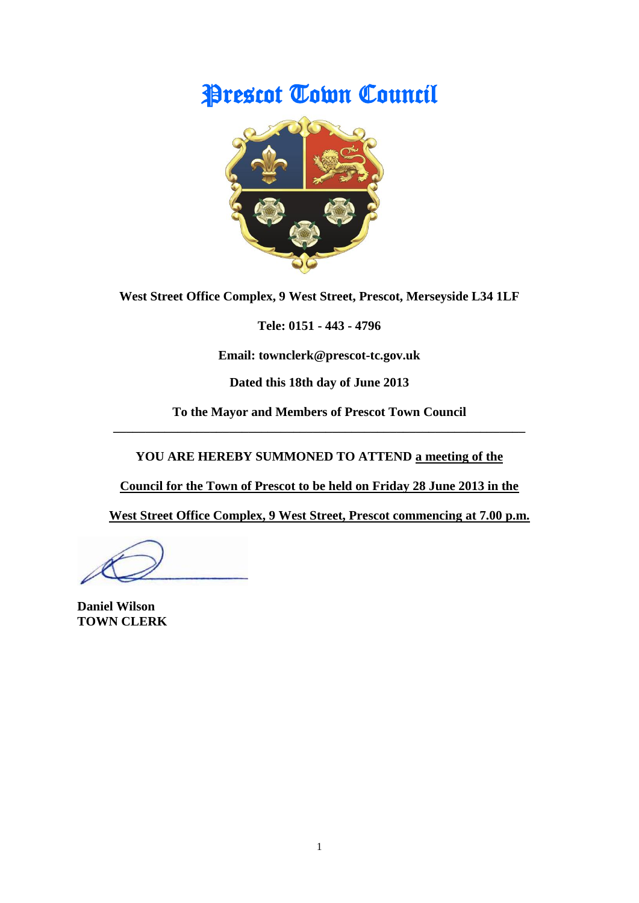# **Prescot Town Council**



**West Street Office Complex, 9 West Street, Prescot, Merseyside L34 1LF**

**Tele: 0151 - 443 - 4796**

**Email: townclerk@prescot-tc.gov.uk**

**Dated this 18th day of June 2013**

**To the Mayor and Members of Prescot Town Council \_\_\_\_\_\_\_\_\_\_\_\_\_\_\_\_\_\_\_\_\_\_\_\_\_\_\_\_\_\_\_\_\_\_\_\_\_\_\_\_\_\_\_\_\_\_\_\_\_\_\_\_\_\_\_\_\_\_\_\_\_\_\_\_**

**YOU ARE HEREBY SUMMONED TO ATTEND a meeting of the** 

**Council for the Town of Prescot to be held on Friday 28 June 2013 in the**

**West Street Office Complex, 9 West Street, Prescot commencing at 7.00 p.m.**

**Daniel Wilson TOWN CLERK**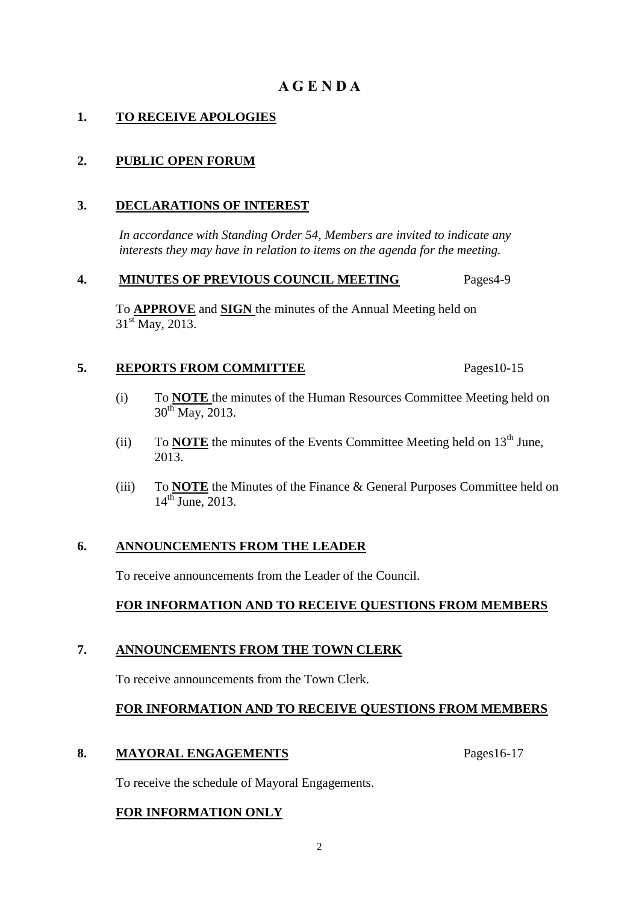# **A G E N D A**

# **1. TO RECEIVE APOLOGIES**

# **2. PUBLIC OPEN FORUM**

# **3. DECLARATIONS OF INTEREST**

 *In accordance with Standing Order 54, Members are invited to indicate any interests they may have in relation to items on the agenda for the meeting.*

#### **4. MINUTES OF PREVIOUS COUNCIL MEETING** Pages4-9

To **APPROVE** and **SIGN** the minutes of the Annual Meeting held on  $31<sup>st</sup>$  May, 2013.

# **5. REPORTS FROM COMMITTEE** Pages10-15

- (i) To **NOTE** the minutes of the Human Resources Committee Meeting held on  $30^{th}$  May, 2013.
- (ii) To **NOTE** the minutes of the Events Committee Meeting held on  $13<sup>th</sup>$  June,  $2013.$
- (iii) To **NOTE** the Minutes of the Finance & General Purposes Committee held on  $14^{\text{th}}$  June, 2013.

# **6. ANNOUNCEMENTS FROM THE LEADER**

To receive announcements from the Leader of the Council.

# **FOR INFORMATION AND TO RECEIVE QUESTIONS FROM MEMBERS**

# **7. ANNOUNCEMENTS FROM THE TOWN CLERK**

To receive announcements from the Town Clerk.

# **FOR INFORMATION AND TO RECEIVE QUESTIONS FROM MEMBERS**

#### **8. MAYORAL ENGAGEMENTS** Pages16-17

To receive the schedule of Mayoral Engagements.

# **FOR INFORMATION ONLY**